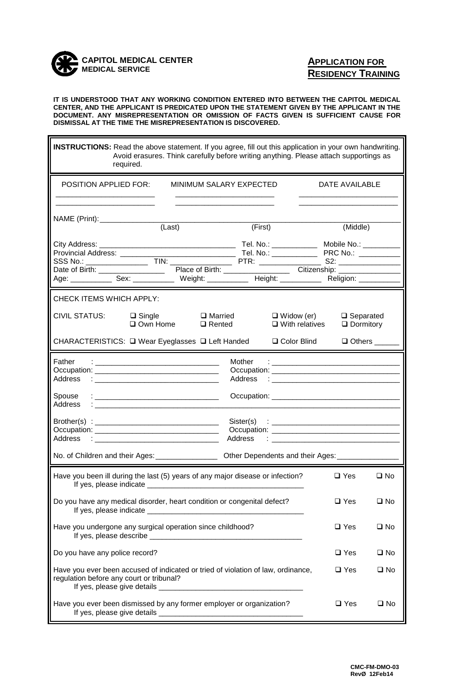

r.

## **APPLICATION FOR RESIDENCY TRAINING**

 $\blacksquare$ 

**IT IS UNDERSTOOD THAT ANY WORKING CONDITION ENTERED INTO BETWEEN THE CAPITOL MEDICAL CENTER, AND THE APPLICANT IS PREDICATED UPON THE STATEMENT GIVEN BY THE APPLICANT IN THE DOCUMENT. ANY MISREPRESENTATION OR OMISSION OF FACTS GIVEN IS SUFFICIENT CAUSE FOR DISMISSAL AT THE TIME THE MISREPRESENTATION IS DISCOVERED.**

| <b>INSTRUCTIONS:</b> Read the above statement. If you agree, fill out this application in your own handwriting.<br>Avoid erasures. Think carefully before writing anything. Please attach supportings as<br>required.                                                             |                                            |                                      |  |  |
|-----------------------------------------------------------------------------------------------------------------------------------------------------------------------------------------------------------------------------------------------------------------------------------|--------------------------------------------|--------------------------------------|--|--|
| <b>POSITION APPLIED FOR:</b>                                                                                                                                                                                                                                                      | MINIMUM SALARY EXPECTED                    | DATE AVAILABLE                       |  |  |
| NAME (Print): (Last)                                                                                                                                                                                                                                                              | (First)                                    | (Middle)                             |  |  |
| Age: _____________ Sex: ______________ Weight: ____________ Height: ____________ Religion: _________                                                                                                                                                                              |                                            |                                      |  |  |
| CHECK ITEMS WHICH APPLY:                                                                                                                                                                                                                                                          |                                            |                                      |  |  |
| <b>CIVIL STATUS:</b><br>$\Box$ Married<br>$\Box$ Single<br>$\square$ Own Home<br>$\Box$ Rented                                                                                                                                                                                    | $\Box$ Widow (er)<br>$\Box$ With relatives | $\Box$ Separated<br>$\Box$ Dormitory |  |  |
| CHARACTERISTICS: □ Wear Eyeglasses □ Left Handed                                                                                                                                                                                                                                  | □ Color Blind                              | $\Box$ Others                        |  |  |
| Father<br>Mother<br><u> 1989 - Johann Barn, mars eta bainar eta baina eta baina eta baina eta baina eta baina eta baina eta baina e</u><br>Address<br>Address<br>the contract of the contract of the contract of the contract of the contract of<br>Spouse<br>Address<br><u>:</u> |                                            |                                      |  |  |
| Address<br>$\ddot{\phantom{a}}$ . The contract of the contract of the contract of the contract of the contract of the contract of the contract of the contract of the contract of the contract of the contract of the contract of the contract of                                 |                                            |                                      |  |  |
| No. of Children and their Ages: _________________<br>Other Dependents and their Ages: ______                                                                                                                                                                                      |                                            |                                      |  |  |
| Have you been ill during the last (5) years of any major disease or infection?<br>$\square$ Yes<br>If yes, please indicate ___                                                                                                                                                    |                                            | $\square$ No                         |  |  |
| Do you have any medical disorder, heart condition or congenital defect?<br>$\square$ Yes                                                                                                                                                                                          |                                            | $\square$ No                         |  |  |
| Have you undergone any surgical operation since childhood?                                                                                                                                                                                                                        |                                            | $\square$ Yes<br>$\square$ No        |  |  |
| Do you have any police record?                                                                                                                                                                                                                                                    |                                            | $\Box$ Yes<br>$\square$ No           |  |  |
| Have you ever been accused of indicated or tried of violation of law, ordinance,<br>$\square$ Yes<br>$\square$ No<br>regulation before any court or tribunal?                                                                                                                     |                                            |                                      |  |  |
| Have you ever been dismissed by any former employer or organization?<br>$\square$ Yes<br>$\square$ No                                                                                                                                                                             |                                            |                                      |  |  |